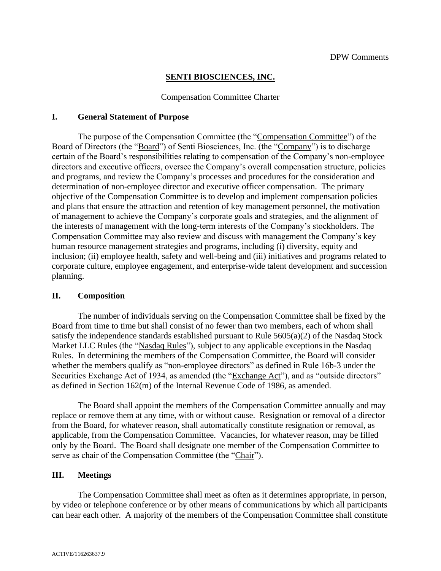#### **SENTI BIOSCIENCES, INC.**

#### Compensation Committee Charter

#### **I. General Statement of Purpose**

The purpose of the Compensation Committee (the "Compensation Committee") of the Board of Directors (the "Board") of Senti Biosciences, Inc. (the "Company") is to discharge certain of the Board's responsibilities relating to compensation of the Company's non-employee directors and executive officers, oversee the Company's overall compensation structure, policies and programs, and review the Company's processes and procedures for the consideration and determination of non-employee director and executive officer compensation. The primary objective of the Compensation Committee is to develop and implement compensation policies and plans that ensure the attraction and retention of key management personnel, the motivation of management to achieve the Company's corporate goals and strategies, and the alignment of the interests of management with the long-term interests of the Company's stockholders. The Compensation Committee may also review and discuss with management the Company's key human resource management strategies and programs, including (i) diversity, equity and inclusion; (ii) employee health, safety and well-being and (iii) initiatives and programs related to corporate culture, employee engagement, and enterprise-wide talent development and succession planning.

#### **II. Composition**

The number of individuals serving on the Compensation Committee shall be fixed by the Board from time to time but shall consist of no fewer than two members, each of whom shall satisfy the independence standards established pursuant to Rule 5605(a)(2) of the Nasdaq Stock Market LLC Rules (the "Nasdaq Rules"), subject to any applicable exceptions in the Nasdaq Rules. In determining the members of the Compensation Committee, the Board will consider whether the members qualify as "non-employee directors" as defined in Rule 16b-3 under the Securities Exchange Act of 1934, as amended (the "Exchange Act"), and as "outside directors" as defined in Section 162(m) of the Internal Revenue Code of 1986, as amended.

The Board shall appoint the members of the Compensation Committee annually and may replace or remove them at any time, with or without cause. Resignation or removal of a director from the Board, for whatever reason, shall automatically constitute resignation or removal, as applicable, from the Compensation Committee. Vacancies, for whatever reason, may be filled only by the Board. The Board shall designate one member of the Compensation Committee to serve as chair of the Compensation Committee (the "Chair").

#### **III. Meetings**

The Compensation Committee shall meet as often as it determines appropriate, in person, by video or telephone conference or by other means of communications by which all participants can hear each other. A majority of the members of the Compensation Committee shall constitute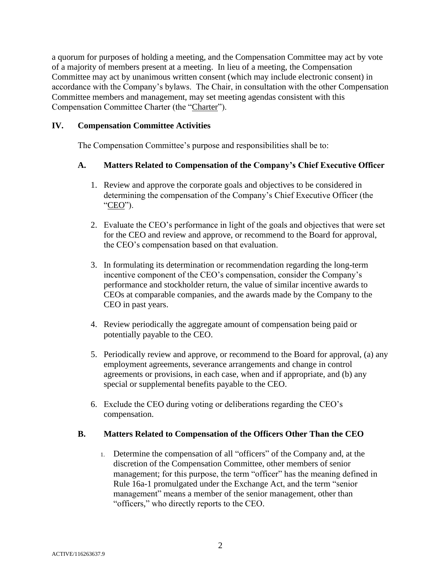a quorum for purposes of holding a meeting, and the Compensation Committee may act by vote of a majority of members present at a meeting. In lieu of a meeting, the Compensation Committee may act by unanimous written consent (which may include electronic consent) in accordance with the Company's bylaws. The Chair, in consultation with the other Compensation Committee members and management, may set meeting agendas consistent with this Compensation Committee Charter (the "Charter").

# **IV. Compensation Committee Activities**

The Compensation Committee's purpose and responsibilities shall be to:

# **A. Matters Related to Compensation of the Company's Chief Executive Officer**

- 1. Review and approve the corporate goals and objectives to be considered in determining the compensation of the Company's Chief Executive Officer (the "CEO").
- 2. Evaluate the CEO's performance in light of the goals and objectives that were set for the CEO and review and approve, or recommend to the Board for approval, the CEO's compensation based on that evaluation.
- 3. In formulating its determination or recommendation regarding the long-term incentive component of the CEO's compensation, consider the Company's performance and stockholder return, the value of similar incentive awards to CEOs at comparable companies, and the awards made by the Company to the CEO in past years.
- 4. Review periodically the aggregate amount of compensation being paid or potentially payable to the CEO.
- 5. Periodically review and approve, or recommend to the Board for approval, (a) any employment agreements, severance arrangements and change in control agreements or provisions, in each case, when and if appropriate, and (b) any special or supplemental benefits payable to the CEO.
- 6. Exclude the CEO during voting or deliberations regarding the CEO's compensation.

# **B. Matters Related to Compensation of the Officers Other Than the CEO**

1. Determine the compensation of all "officers" of the Company and, at the discretion of the Compensation Committee, other members of senior management; for this purpose, the term "officer" has the meaning defined in Rule 16a-1 promulgated under the Exchange Act, and the term "senior management" means a member of the senior management, other than "officers," who directly reports to the CEO.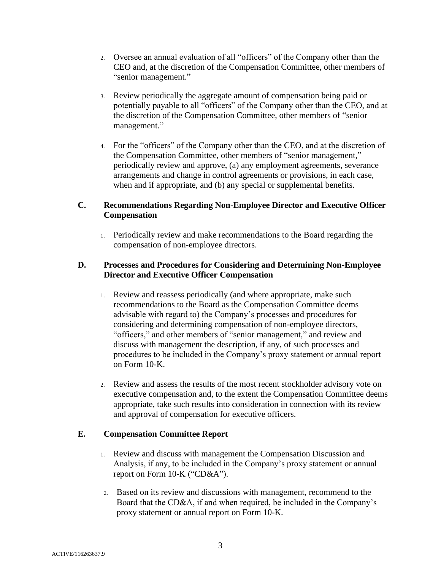- 2. Oversee an annual evaluation of all "officers" of the Company other than the CEO and, at the discretion of the Compensation Committee, other members of "senior management."
- 3. Review periodically the aggregate amount of compensation being paid or potentially payable to all "officers" of the Company other than the CEO, and at the discretion of the Compensation Committee, other members of "senior management."
- 4. For the "officers" of the Company other than the CEO, and at the discretion of the Compensation Committee, other members of "senior management," periodically review and approve, (a) any employment agreements, severance arrangements and change in control agreements or provisions, in each case, when and if appropriate, and (b) any special or supplemental benefits.

## **C. Recommendations Regarding Non-Employee Director and Executive Officer Compensation**

1. Periodically review and make recommendations to the Board regarding the compensation of non-employee directors.

## **D. Processes and Procedures for Considering and Determining Non-Employee Director and Executive Officer Compensation**

- 1. Review and reassess periodically (and where appropriate, make such recommendations to the Board as the Compensation Committee deems advisable with regard to) the Company's processes and procedures for considering and determining compensation of non-employee directors, "officers," and other members of "senior management," and review and discuss with management the description, if any, of such processes and procedures to be included in the Company's proxy statement or annual report on Form 10-K.
- 2. Review and assess the results of the most recent stockholder advisory vote on executive compensation and, to the extent the Compensation Committee deems appropriate, take such results into consideration in connection with its review and approval of compensation for executive officers.

# **E. Compensation Committee Report**

- 1. Review and discuss with management the Compensation Discussion and Analysis, if any, to be included in the Company's proxy statement or annual report on Form 10-K ("CD&A").
- 2. Based on its review and discussions with management, recommend to the Board that the CD&A, if and when required, be included in the Company's proxy statement or annual report on Form 10-K.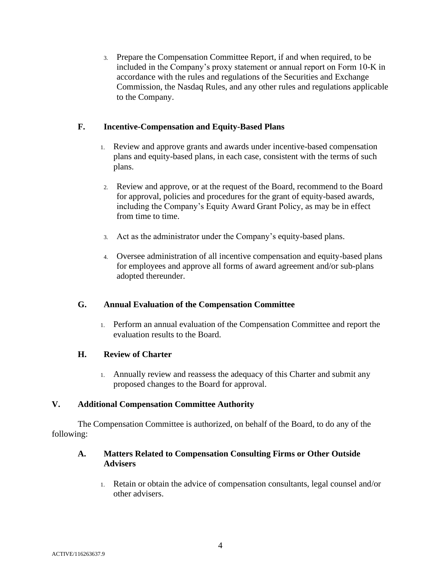3. Prepare the Compensation Committee Report, if and when required, to be included in the Company's proxy statement or annual report on Form 10-K in accordance with the rules and regulations of the Securities and Exchange Commission, the Nasdaq Rules, and any other rules and regulations applicable to the Company.

## **F. Incentive-Compensation and Equity-Based Plans**

- 1. Review and approve grants and awards under incentive-based compensation plans and equity-based plans, in each case, consistent with the terms of such plans.
- 2. Review and approve, or at the request of the Board, recommend to the Board for approval, policies and procedures for the grant of equity-based awards, including the Company's Equity Award Grant Policy, as may be in effect from time to time.
- 3. Act as the administrator under the Company's equity-based plans.
- 4. Oversee administration of all incentive compensation and equity-based plans for employees and approve all forms of award agreement and/or sub-plans adopted thereunder.

### **G. Annual Evaluation of the Compensation Committee**

1. Perform an annual evaluation of the Compensation Committee and report the evaluation results to the Board.

### **H. Review of Charter**

1. Annually review and reassess the adequacy of this Charter and submit any proposed changes to the Board for approval.

### **V. Additional Compensation Committee Authority**

The Compensation Committee is authorized, on behalf of the Board, to do any of the following:

### **A. Matters Related to Compensation Consulting Firms or Other Outside Advisers**

1. Retain or obtain the advice of compensation consultants, legal counsel and/or other advisers.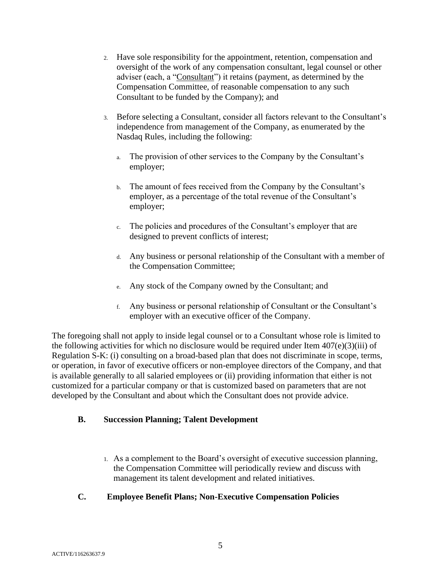- 2. Have sole responsibility for the appointment, retention, compensation and oversight of the work of any compensation consultant, legal counsel or other adviser (each, a "Consultant") it retains (payment, as determined by the Compensation Committee, of reasonable compensation to any such Consultant to be funded by the Company); and
- 3. Before selecting a Consultant, consider all factors relevant to the Consultant's independence from management of the Company, as enumerated by the Nasdaq Rules, including the following:
	- a. The provision of other services to the Company by the Consultant's employer;
	- b. The amount of fees received from the Company by the Consultant's employer, as a percentage of the total revenue of the Consultant's employer;
	- c. The policies and procedures of the Consultant's employer that are designed to prevent conflicts of interest;
	- d. Any business or personal relationship of the Consultant with a member of the Compensation Committee;
	- e. Any stock of the Company owned by the Consultant; and
	- f. Any business or personal relationship of Consultant or the Consultant's employer with an executive officer of the Company.

The foregoing shall not apply to inside legal counsel or to a Consultant whose role is limited to the following activities for which no disclosure would be required under Item  $407(e)(3)(iii)$  of Regulation S-K: (i) consulting on a broad-based plan that does not discriminate in scope, terms, or operation, in favor of executive officers or non-employee directors of the Company, and that is available generally to all salaried employees or (ii) providing information that either is not customized for a particular company or that is customized based on parameters that are not developed by the Consultant and about which the Consultant does not provide advice.

# **B. Succession Planning; Talent Development**

1. As a complement to the Board's oversight of executive succession planning, the Compensation Committee will periodically review and discuss with management its talent development and related initiatives.

# **C. Employee Benefit Plans; Non-Executive Compensation Policies**